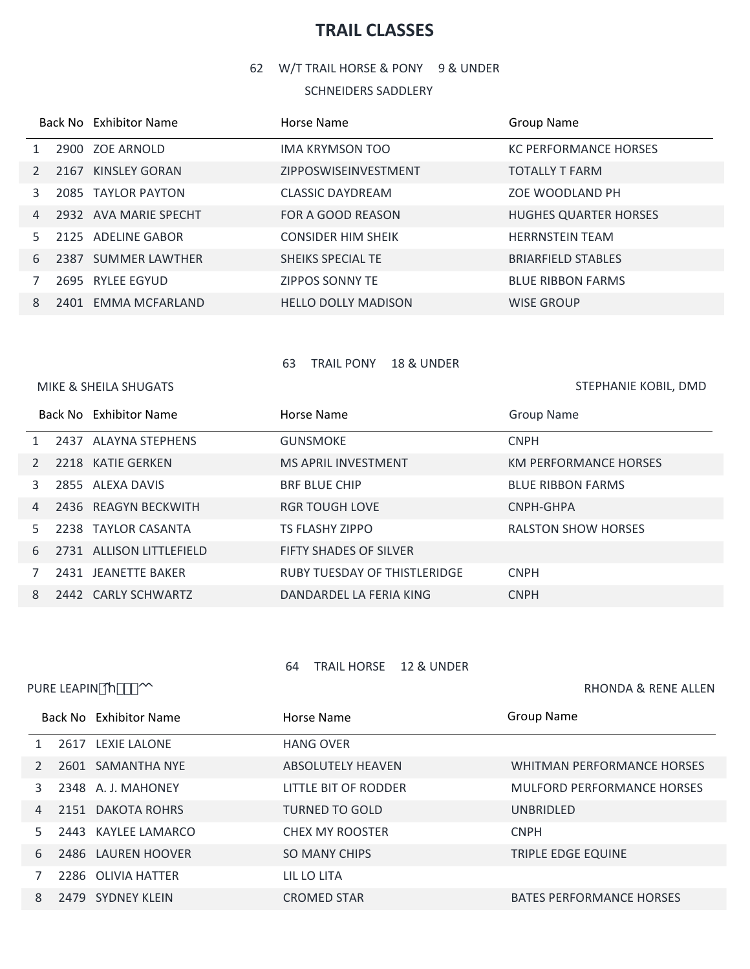# **TRAIL CLASSES**

W/T TRAIL HORSE & PONY 9 & UNDER

### SCHNEIDERS SADDLERY

|                |  | Back No Exhibitor Name | Horse Name                  | <b>Group Name</b>            |
|----------------|--|------------------------|-----------------------------|------------------------------|
|                |  | 2900 ZOE ARNOLD        | IMA KRYMSON TOO             | <b>KC PERFORMANCE HORSES</b> |
|                |  | 2167 KINSLEY GORAN     | <b>ZIPPOSWISEINVESTMENT</b> | <b>TOTALLY T FARM</b>        |
| 3              |  | 2085 TAYLOR PAYTON     | <b>CLASSIC DAYDREAM</b>     | ZOE WOODLAND PH              |
| $\overline{4}$ |  | 2932 AVA MARIE SPECHT  | FOR A GOOD REASON           | <b>HUGHES QUARTER HORSES</b> |
| .5.            |  | 2125 ADELINE GABOR     | <b>CONSIDER HIM SHEIK</b>   | <b>HERRNSTEIN TEAM</b>       |
| 6              |  | 2387 SUMMER LAWTHER    | SHEIKS SPECIAL TE           | <b>BRIARFIELD STABLES</b>    |
|                |  | 2695 RYLEE EGYUD       | <b>ZIPPOS SONNY TE</b>      | <b>BLUE RIBBON FARMS</b>     |
| 8              |  | 2401 EMMA MCFARLAND    | <b>HELLO DOLLY MADISON</b>  | <b>WISE GROUP</b>            |

### TRAIL PONY 18 & UNDER

MIKE & SHEILA SHUGATS

STEPHANIE KOBIL, DMD

|    |  | Back No Exhibitor Name   | Horse Name                    | Group Name                   |
|----|--|--------------------------|-------------------------------|------------------------------|
|    |  | 2437 ALAYNA STEPHENS     | <b>GUNSMOKE</b>               | <b>CNPH</b>                  |
|    |  | 2218 KATIE GERKEN        | <b>MS APRIL INVESTMENT</b>    | <b>KM PERFORMANCE HORSES</b> |
| 3  |  | 2855 ALEXA DAVIS         | <b>BRF BLUE CHIP</b>          | <b>BLUE RIBBON FARMS</b>     |
| 4  |  | 2436 REAGYN BECKWITH     | <b>RGR TOUGH LOVE</b>         | CNPH-GHPA                    |
| 5. |  | 2238 TAYLOR CASANTA      | <b>TS FLASHY ZIPPO</b>        | <b>RALSTON SHOW HORSES</b>   |
| 6  |  | 2731 ALLISON LITTLEFIELD | <b>FIFTY SHADES OF SILVER</b> |                              |
|    |  | 2431 JEANETTE BAKER      | RUBY TUESDAY OF THISTLERIDGE  | <b>CNPH</b>                  |
| 8  |  | 2442 CARLY SCHWARTZ      | DANDARDEL LA FERIA KING       | <b>CNPH</b>                  |

## TRAIL HORSE 12 & UNDER

| PURE LEAPIN OY ##- OO |  |                        |                          | <b>RHONDA &amp; RENE ALLEN</b>    |
|-----------------------|--|------------------------|--------------------------|-----------------------------------|
|                       |  | Back No Exhibitor Name | Horse Name               | <b>Group Name</b>                 |
|                       |  | 2617 LEXIE LALONE      | <b>HANG OVER</b>         |                                   |
| $\mathcal{P}$         |  | 2601 SAMANTHA NYE      | <b>ABSOLUTELY HEAVEN</b> | <b>WHITMAN PERFORMANCE HORSES</b> |
| 3                     |  | 2348 A. J. MAHONEY     | LITTLE BIT OF RODDER     | <b>MULFORD PERFORMANCE HORSES</b> |
| $\overline{4}$        |  | 2151 DAKOTA ROHRS      | <b>TURNED TO GOLD</b>    | <b>UNBRIDLED</b>                  |
| 5.                    |  | 2443 KAYLEE LAMARCO    | <b>CHEX MY ROOSTER</b>   | <b>CNPH</b>                       |
| 6                     |  | 2486 LAUREN HOOVER     | <b>SO MANY CHIPS</b>     | TRIPLE EDGE EQUINE                |
|                       |  | 2286 OLIVIA HATTER     | LIL LO LITA              |                                   |
| 8                     |  | 2479 SYDNEY KLEIN      | <b>CROMED STAR</b>       | <b>BATES PERFORMANCE HORSES</b>   |